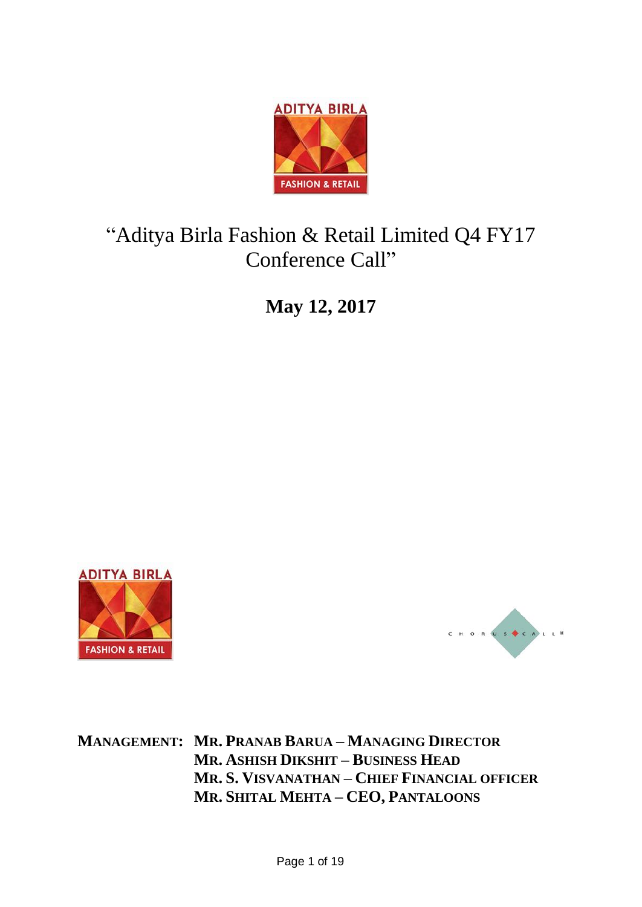

# "Aditya Birla Fashion & Retail Limited Q4 FY17 Conference Call"

**May 12, 2017**





**MANAGEMENT: MR. PRANAB BARUA – MANAGING DIRECTOR MR. ASHISH DIKSHIT – BUSINESS HEAD MR. S. VISVANATHAN – CHIEF FINANCIAL OFFICER MR. SHITAL MEHTA – CEO, PANTALOONS**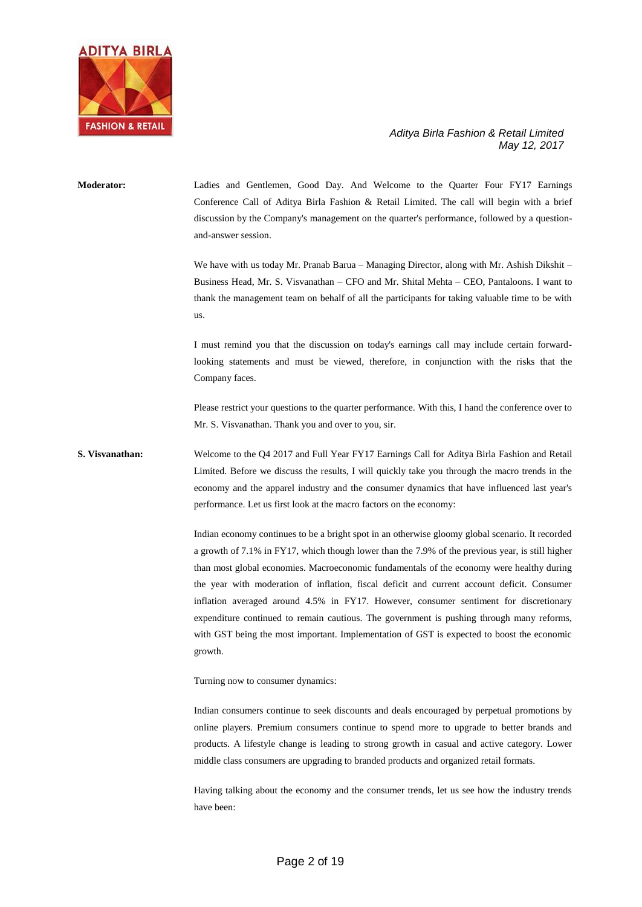

**Moderator:** Ladies and Gentlemen, Good Day. And Welcome to the Quarter Four FY17 Earnings Conference Call of Aditya Birla Fashion & Retail Limited. The call will begin with a brief discussion by the Company's management on the quarter's performance, followed by a questionand-answer session. We have with us today Mr. Pranab Barua – Managing Director, along with Mr. Ashish Dikshit – Business Head, Mr. S. Visvanathan – CFO and Mr. Shital Mehta – CEO, Pantaloons. I want to

thank the management team on behalf of all the participants for taking valuable time to be with us.

I must remind you that the discussion on today's earnings call may include certain forwardlooking statements and must be viewed, therefore, in conjunction with the risks that the Company faces.

Please restrict your questions to the quarter performance. With this, I hand the conference over to Mr. S. Visvanathan. Thank you and over to you, sir.

# **S. Visvanathan:** Welcome to the Q4 2017 and Full Year FY17 Earnings Call for Aditya Birla Fashion and Retail Limited. Before we discuss the results, I will quickly take you through the macro trends in the economy and the apparel industry and the consumer dynamics that have influenced last year's performance. Let us first look at the macro factors on the economy:

Indian economy continues to be a bright spot in an otherwise gloomy global scenario. It recorded a growth of 7.1% in FY17, which though lower than the 7.9% of the previous year, is still higher than most global economies. Macroeconomic fundamentals of the economy were healthy during the year with moderation of inflation, fiscal deficit and current account deficit. Consumer inflation averaged around 4.5% in FY17. However, consumer sentiment for discretionary expenditure continued to remain cautious. The government is pushing through many reforms, with GST being the most important. Implementation of GST is expected to boost the economic growth.

Turning now to consumer dynamics:

Indian consumers continue to seek discounts and deals encouraged by perpetual promotions by online players. Premium consumers continue to spend more to upgrade to better brands and products. A lifestyle change is leading to strong growth in casual and active category. Lower middle class consumers are upgrading to branded products and organized retail formats.

Having talking about the economy and the consumer trends, let us see how the industry trends have been: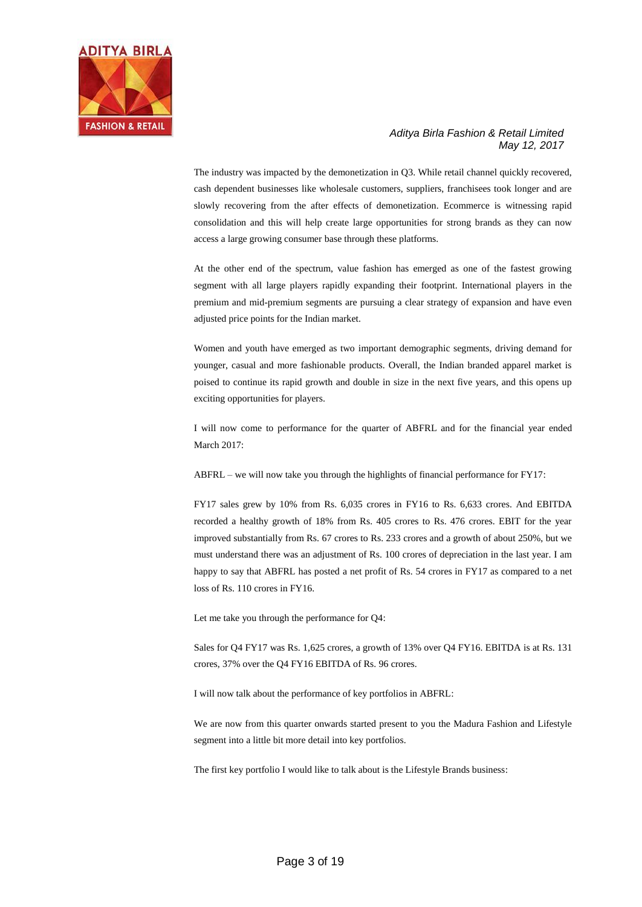

The industry was impacted by the demonetization in Q3. While retail channel quickly recovered, cash dependent businesses like wholesale customers, suppliers, franchisees took longer and are slowly recovering from the after effects of demonetization. Ecommerce is witnessing rapid consolidation and this will help create large opportunities for strong brands as they can now access a large growing consumer base through these platforms.

At the other end of the spectrum, value fashion has emerged as one of the fastest growing segment with all large players rapidly expanding their footprint. International players in the premium and mid-premium segments are pursuing a clear strategy of expansion and have even adjusted price points for the Indian market.

Women and youth have emerged as two important demographic segments, driving demand for younger, casual and more fashionable products. Overall, the Indian branded apparel market is poised to continue its rapid growth and double in size in the next five years, and this opens up exciting opportunities for players.

I will now come to performance for the quarter of ABFRL and for the financial year ended March 2017:

ABFRL – we will now take you through the highlights of financial performance for FY17:

FY17 sales grew by 10% from Rs. 6,035 crores in FY16 to Rs. 6,633 crores. And EBITDA recorded a healthy growth of 18% from Rs. 405 crores to Rs. 476 crores. EBIT for the year improved substantially from Rs. 67 crores to Rs. 233 crores and a growth of about 250%, but we must understand there was an adjustment of Rs. 100 crores of depreciation in the last year. I am happy to say that ABFRL has posted a net profit of Rs. 54 crores in FY17 as compared to a net loss of Rs. 110 crores in FY16.

Let me take you through the performance for Q4:

Sales for Q4 FY17 was Rs. 1,625 crores, a growth of 13% over Q4 FY16. EBITDA is at Rs. 131 crores, 37% over the Q4 FY16 EBITDA of Rs. 96 crores.

I will now talk about the performance of key portfolios in ABFRL:

We are now from this quarter onwards started present to you the Madura Fashion and Lifestyle segment into a little bit more detail into key portfolios.

The first key portfolio I would like to talk about is the Lifestyle Brands business: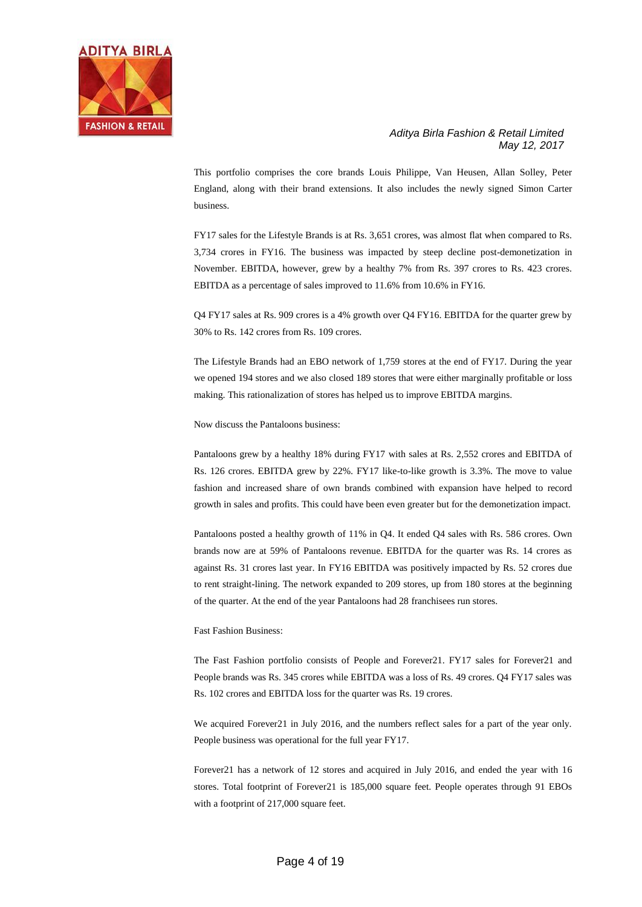

This portfolio comprises the core brands Louis Philippe, Van Heusen, Allan Solley, Peter England, along with their brand extensions. It also includes the newly signed Simon Carter business.

FY17 sales for the Lifestyle Brands is at Rs. 3,651 crores, was almost flat when compared to Rs. 3,734 crores in FY16. The business was impacted by steep decline post-demonetization in November. EBITDA, however, grew by a healthy 7% from Rs. 397 crores to Rs. 423 crores. EBITDA as a percentage of sales improved to 11.6% from 10.6% in FY16.

Q4 FY17 sales at Rs. 909 crores is a 4% growth over Q4 FY16. EBITDA for the quarter grew by 30% to Rs. 142 crores from Rs. 109 crores.

The Lifestyle Brands had an EBO network of 1,759 stores at the end of FY17. During the year we opened 194 stores and we also closed 189 stores that were either marginally profitable or loss making. This rationalization of stores has helped us to improve EBITDA margins.

Now discuss the Pantaloons business:

Pantaloons grew by a healthy 18% during FY17 with sales at Rs. 2,552 crores and EBITDA of Rs. 126 crores. EBITDA grew by 22%. FY17 like-to-like growth is 3.3%. The move to value fashion and increased share of own brands combined with expansion have helped to record growth in sales and profits. This could have been even greater but for the demonetization impact.

Pantaloons posted a healthy growth of 11% in Q4. It ended Q4 sales with Rs. 586 crores. Own brands now are at 59% of Pantaloons revenue. EBITDA for the quarter was Rs. 14 crores as against Rs. 31 crores last year. In FY16 EBITDA was positively impacted by Rs. 52 crores due to rent straight-lining. The network expanded to 209 stores, up from 180 stores at the beginning of the quarter. At the end of the year Pantaloons had 28 franchisees run stores.

Fast Fashion Business:

The Fast Fashion portfolio consists of People and Forever21. FY17 sales for Forever21 and People brands was Rs. 345 crores while EBITDA was a loss of Rs. 49 crores. Q4 FY17 sales was Rs. 102 crores and EBITDA loss for the quarter was Rs. 19 crores.

We acquired Forever21 in July 2016, and the numbers reflect sales for a part of the year only. People business was operational for the full year FY17.

Forever21 has a network of 12 stores and acquired in July 2016, and ended the year with 16 stores. Total footprint of Forever21 is 185,000 square feet. People operates through 91 EBOs with a footprint of 217,000 square feet.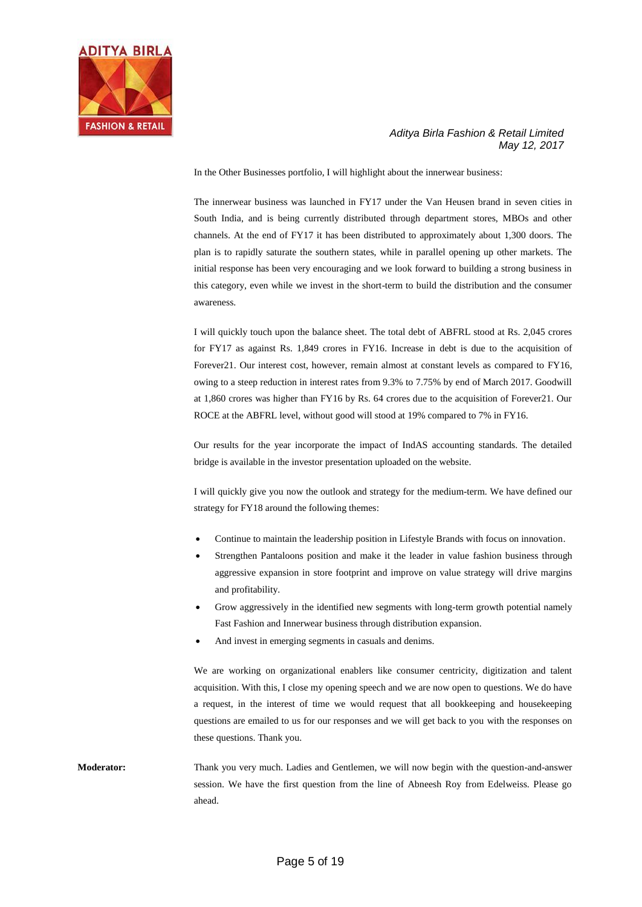

In the Other Businesses portfolio, I will highlight about the innerwear business:

The innerwear business was launched in FY17 under the Van Heusen brand in seven cities in South India, and is being currently distributed through department stores, MBOs and other channels. At the end of FY17 it has been distributed to approximately about 1,300 doors. The plan is to rapidly saturate the southern states, while in parallel opening up other markets. The initial response has been very encouraging and we look forward to building a strong business in this category, even while we invest in the short-term to build the distribution and the consumer awareness.

I will quickly touch upon the balance sheet. The total debt of ABFRL stood at Rs. 2,045 crores for FY17 as against Rs. 1,849 crores in FY16. Increase in debt is due to the acquisition of Forever21. Our interest cost, however, remain almost at constant levels as compared to FY16, owing to a steep reduction in interest rates from 9.3% to 7.75% by end of March 2017. Goodwill at 1,860 crores was higher than FY16 by Rs. 64 crores due to the acquisition of Forever21. Our ROCE at the ABFRL level, without good will stood at 19% compared to 7% in FY16.

Our results for the year incorporate the impact of IndAS accounting standards. The detailed bridge is available in the investor presentation uploaded on the website.

I will quickly give you now the outlook and strategy for the medium-term. We have defined our strategy for FY18 around the following themes:

- Continue to maintain the leadership position in Lifestyle Brands with focus on innovation.
- Strengthen Pantaloons position and make it the leader in value fashion business through aggressive expansion in store footprint and improve on value strategy will drive margins and profitability.
- Grow aggressively in the identified new segments with long-term growth potential namely Fast Fashion and Innerwear business through distribution expansion.
- And invest in emerging segments in casuals and denims.

We are working on organizational enablers like consumer centricity, digitization and talent acquisition. With this, I close my opening speech and we are now open to questions. We do have a request, in the interest of time we would request that all bookkeeping and housekeeping questions are emailed to us for our responses and we will get back to you with the responses on these questions. Thank you.

**Moderator:** Thank you very much. Ladies and Gentlemen, we will now begin with the question-and-answer session. We have the first question from the line of Abneesh Roy from Edelweiss. Please go ahead.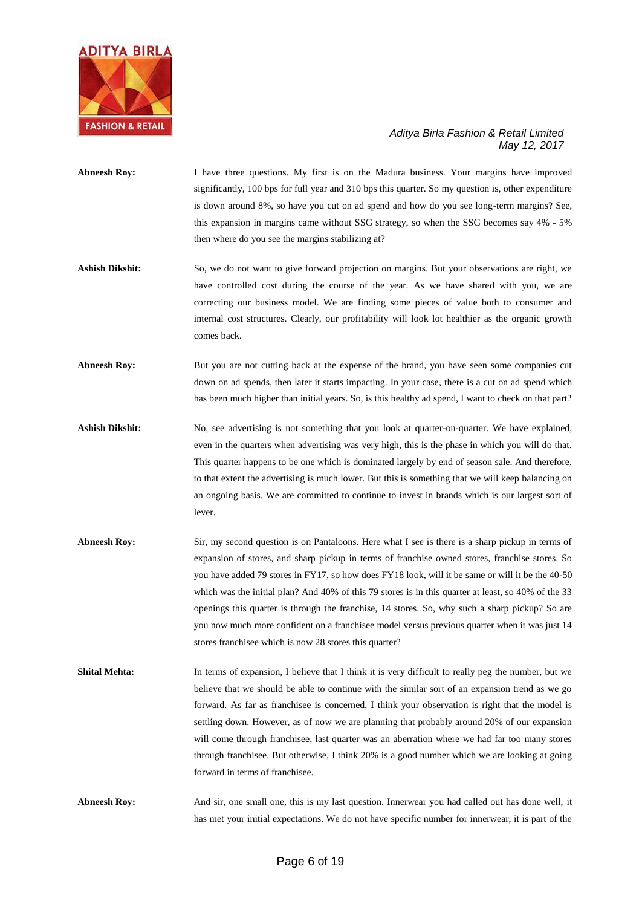

- **Abneesh Roy:** I have three questions. My first is on the Madura business. Your margins have improved significantly, 100 bps for full year and 310 bps this quarter. So my question is, other expenditure is down around 8%, so have you cut on ad spend and how do you see long-term margins? See, this expansion in margins came without SSG strategy, so when the SSG becomes say 4% - 5% then where do you see the margins stabilizing at?
- Ashish Dikshit: So, we do not want to give forward projection on margins. But your observations are right, we have controlled cost during the course of the year. As we have shared with you, we are correcting our business model. We are finding some pieces of value both to consumer and internal cost structures. Clearly, our profitability will look lot healthier as the organic growth comes back.
- **Abneesh Roy:** But you are not cutting back at the expense of the brand, you have seen some companies cut down on ad spends, then later it starts impacting. In your case, there is a cut on ad spend which has been much higher than initial years. So, is this healthy ad spend, I want to check on that part?
- **Ashish Dikshit:** No, see advertising is not something that you look at quarter-on-quarter. We have explained, even in the quarters when advertising was very high, this is the phase in which you will do that. This quarter happens to be one which is dominated largely by end of season sale. And therefore, to that extent the advertising is much lower. But this is something that we will keep balancing on an ongoing basis. We are committed to continue to invest in brands which is our largest sort of lever.
- **Abneesh Roy:** Sir, my second question is on Pantaloons. Here what I see is there is a sharp pickup in terms of expansion of stores, and sharp pickup in terms of franchise owned stores, franchise stores. So you have added 79 stores in FY17, so how does FY18 look, will it be same or will it be the 40-50 which was the initial plan? And 40% of this 79 stores is in this quarter at least, so 40% of the 33 openings this quarter is through the franchise, 14 stores. So, why such a sharp pickup? So are you now much more confident on a franchisee model versus previous quarter when it was just 14 stores franchisee which is now 28 stores this quarter?
- **Shital Mehta:** In terms of expansion, I believe that I think it is very difficult to really peg the number, but we believe that we should be able to continue with the similar sort of an expansion trend as we go forward. As far as franchisee is concerned, I think your observation is right that the model is settling down. However, as of now we are planning that probably around 20% of our expansion will come through franchisee, last quarter was an aberration where we had far too many stores through franchisee. But otherwise, I think 20% is a good number which we are looking at going forward in terms of franchisee.
- **Abneesh Roy:** And sir, one small one, this is my last question. Innerwear you had called out has done well, it has met your initial expectations. We do not have specific number for innerwear, it is part of the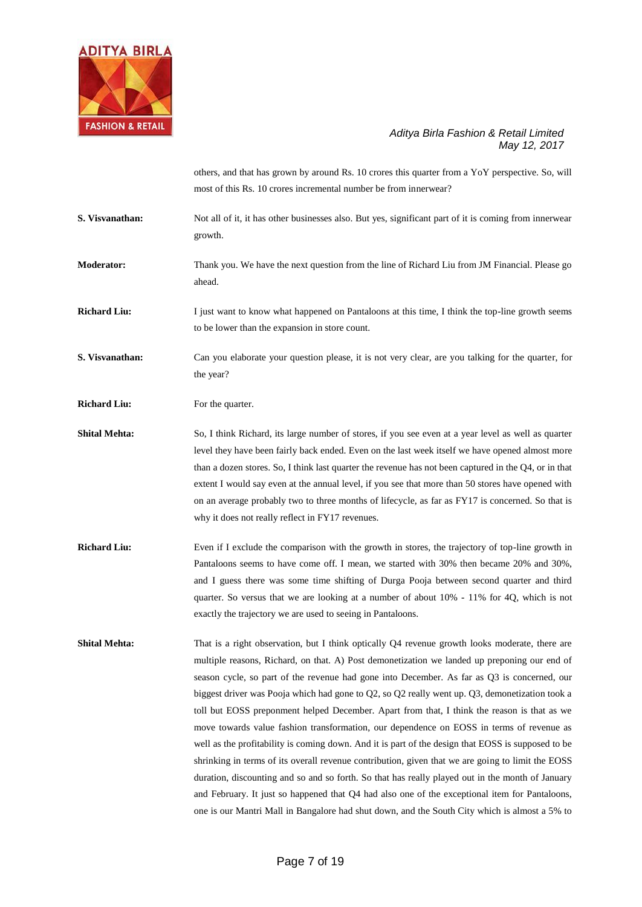

others, and that has grown by around Rs. 10 crores this quarter from a YoY perspective. So, will most of this Rs. 10 crores incremental number be from innerwear?

**S. Visvanathan:** Not all of it, it has other businesses also. But yes, significant part of it is coming from innerwear growth.

**Moderator:** Thank you. We have the next question from the line of Richard Liu from JM Financial. Please go ahead.

**Richard Liu:** I just want to know what happened on Pantaloons at this time, I think the top-line growth seems to be lower than the expansion in store count.

**S. Visvanathan:** Can you elaborate your question please, it is not very clear, are you talking for the quarter, for the year?

**Richard Liu:** For the quarter.

- **Shital Mehta:** So, I think Richard, its large number of stores, if you see even at a year level as well as quarter level they have been fairly back ended. Even on the last week itself we have opened almost more than a dozen stores. So, I think last quarter the revenue has not been captured in the Q4, or in that extent I would say even at the annual level, if you see that more than 50 stores have opened with on an average probably two to three months of lifecycle, as far as FY17 is concerned. So that is why it does not really reflect in FY17 revenues.
- **Richard Liu:** Even if I exclude the comparison with the growth in stores, the trajectory of top-line growth in Pantaloons seems to have come off. I mean, we started with 30% then became 20% and 30%, and I guess there was some time shifting of Durga Pooja between second quarter and third quarter. So versus that we are looking at a number of about 10% - 11% for 4Q, which is not exactly the trajectory we are used to seeing in Pantaloons.
- **Shital Mehta:** That is a right observation, but I think optically Q4 revenue growth looks moderate, there are multiple reasons, Richard, on that. A) Post demonetization we landed up preponing our end of season cycle, so part of the revenue had gone into December. As far as Q3 is concerned, our biggest driver was Pooja which had gone to Q2, so Q2 really went up. Q3, demonetization took a toll but EOSS preponment helped December. Apart from that, I think the reason is that as we move towards value fashion transformation, our dependence on EOSS in terms of revenue as well as the profitability is coming down. And it is part of the design that EOSS is supposed to be shrinking in terms of its overall revenue contribution, given that we are going to limit the EOSS duration, discounting and so and so forth. So that has really played out in the month of January and February. It just so happened that Q4 had also one of the exceptional item for Pantaloons, one is our Mantri Mall in Bangalore had shut down, and the South City which is almost a 5% to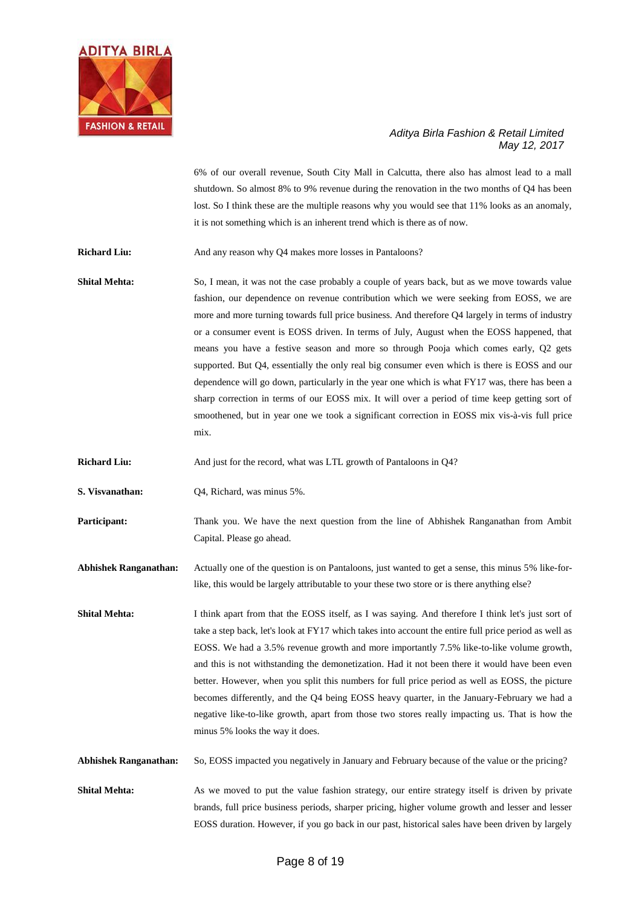

6% of our overall revenue, South City Mall in Calcutta, there also has almost lead to a mall shutdown. So almost 8% to 9% revenue during the renovation in the two months of Q4 has been lost. So I think these are the multiple reasons why you would see that 11% looks as an anomaly, it is not something which is an inherent trend which is there as of now.

**Richard Liu:** And any reason why Q4 makes more losses in Pantaloons?

**Shital Mehta:** So, I mean, it was not the case probably a couple of years back, but as we move towards value fashion, our dependence on revenue contribution which we were seeking from EOSS, we are more and more turning towards full price business. And therefore Q4 largely in terms of industry or a consumer event is EOSS driven. In terms of July, August when the EOSS happened, that means you have a festive season and more so through Pooja which comes early, Q2 gets supported. But Q4, essentially the only real big consumer even which is there is EOSS and our dependence will go down, particularly in the year one which is what FY17 was, there has been a sharp correction in terms of our EOSS mix. It will over a period of time keep getting sort of smoothened, but in year one we took a significant correction in EOSS mix vis-à-vis full price mix.

**Richard Liu:** And just for the record, what was LTL growth of Pantaloons in Q4?

**S. Visvanathan:** Q4, Richard, was minus 5%.

**Participant:** Thank you. We have the next question from the line of Abhishek Ranganathan from Ambit Capital. Please go ahead.

**Abhishek Ranganathan:** Actually one of the question is on Pantaloons, just wanted to get a sense, this minus 5% like-forlike, this would be largely attributable to your these two store or is there anything else?

**Shital Mehta:** I think apart from that the EOSS itself, as I was saying. And therefore I think let's just sort of take a step back, let's look at FY17 which takes into account the entire full price period as well as EOSS. We had a 3.5% revenue growth and more importantly 7.5% like-to-like volume growth, and this is not withstanding the demonetization. Had it not been there it would have been even better. However, when you split this numbers for full price period as well as EOSS, the picture becomes differently, and the Q4 being EOSS heavy quarter, in the January-February we had a negative like-to-like growth, apart from those two stores really impacting us. That is how the minus 5% looks the way it does.

**Abhishek Ranganathan:** So, EOSS impacted you negatively in January and February because of the value or the pricing?

**Shital Mehta:** As we moved to put the value fashion strategy, our entire strategy itself is driven by private brands, full price business periods, sharper pricing, higher volume growth and lesser and lesser EOSS duration. However, if you go back in our past, historical sales have been driven by largely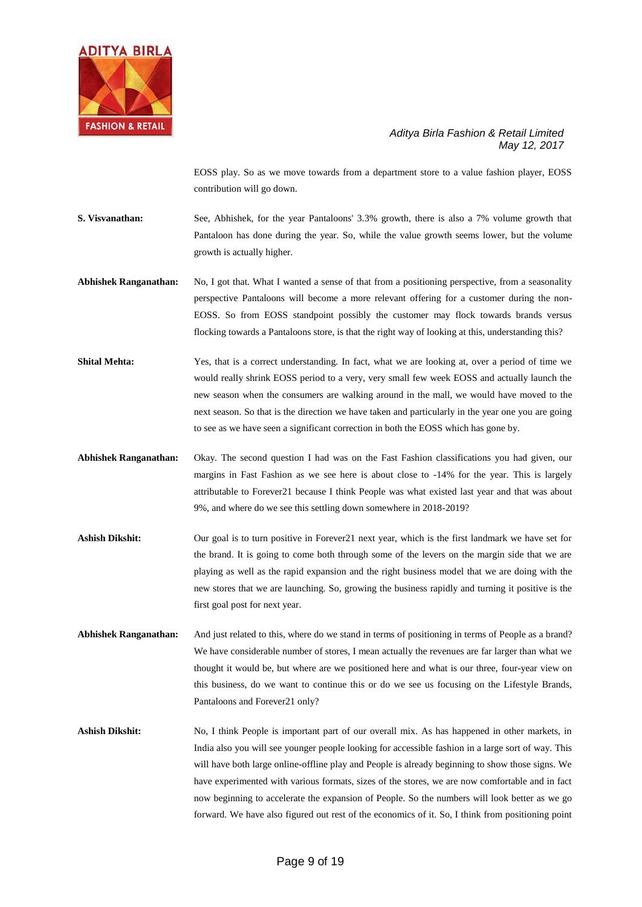

EOSS play. So as we move towards from a department store to a value fashion player, EOSS contribution will go down.

- **S. Visvanathan:** See, Abhishek, for the year Pantaloons' 3.3% growth, there is also a 7% volume growth that Pantaloon has done during the year. So, while the value growth seems lower, but the volume growth is actually higher.
- **Abhishek Ranganathan:** No, I got that. What I wanted a sense of that from a positioning perspective, from a seasonality perspective Pantaloons will become a more relevant offering for a customer during the non-EOSS. So from EOSS standpoint possibly the customer may flock towards brands versus flocking towards a Pantaloons store, is that the right way of looking at this, understanding this?
- **Shital Mehta:** Yes, that is a correct understanding. In fact, what we are looking at, over a period of time we would really shrink EOSS period to a very, very small few week EOSS and actually launch the new season when the consumers are walking around in the mall, we would have moved to the next season. So that is the direction we have taken and particularly in the year one you are going to see as we have seen a significant correction in both the EOSS which has gone by.
- **Abhishek Ranganathan:** Okay. The second question I had was on the Fast Fashion classifications you had given, our margins in Fast Fashion as we see here is about close to -14% for the year. This is largely attributable to Forever21 because I think People was what existed last year and that was about 9%, and where do we see this settling down somewhere in 2018-2019?
- Ashish Dikshit: Our goal is to turn positive in Forever21 next year, which is the first landmark we have set for the brand. It is going to come both through some of the levers on the margin side that we are playing as well as the rapid expansion and the right business model that we are doing with the new stores that we are launching. So, growing the business rapidly and turning it positive is the first goal post for next year.
- **Abhishek Ranganathan:** And just related to this, where do we stand in terms of positioning in terms of People as a brand? We have considerable number of stores, I mean actually the revenues are far larger than what we thought it would be, but where are we positioned here and what is our three, four-year view on this business, do we want to continue this or do we see us focusing on the Lifestyle Brands, Pantaloons and Forever21 only?
- **Ashish Dikshit:** No, I think People is important part of our overall mix. As has happened in other markets, in India also you will see younger people looking for accessible fashion in a large sort of way. This will have both large online-offline play and People is already beginning to show those signs. We have experimented with various formats, sizes of the stores, we are now comfortable and in fact now beginning to accelerate the expansion of People. So the numbers will look better as we go forward. We have also figured out rest of the economics of it. So, I think from positioning point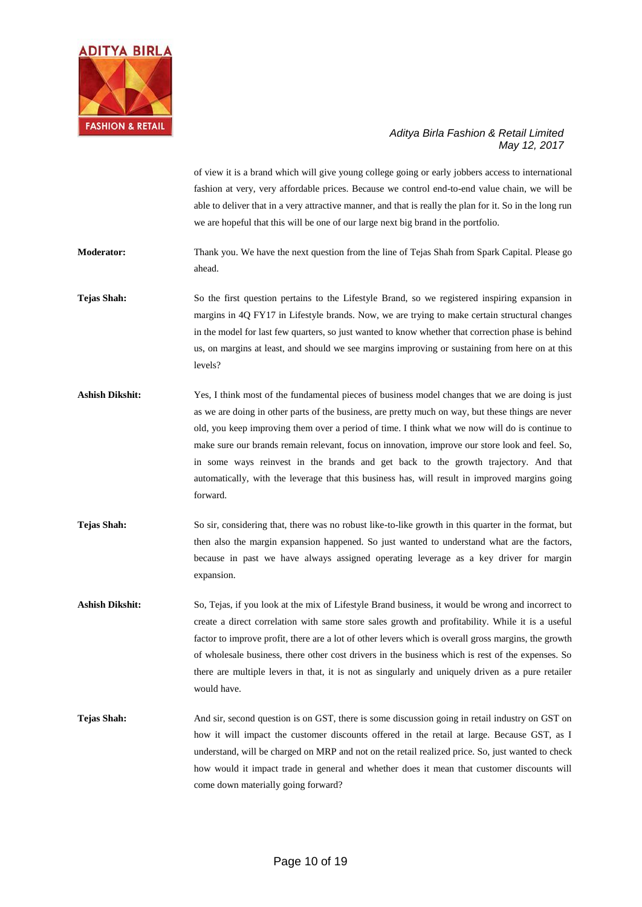

of view it is a brand which will give young college going or early jobbers access to international fashion at very, very affordable prices. Because we control end-to-end value chain, we will be able to deliver that in a very attractive manner, and that is really the plan for it. So in the long run we are hopeful that this will be one of our large next big brand in the portfolio.

**Moderator:** Thank you. We have the next question from the line of Tejas Shah from Spark Capital. Please go ahead.

**Tejas Shah:** So the first question pertains to the Lifestyle Brand, so we registered inspiring expansion in margins in 4Q FY17 in Lifestyle brands. Now, we are trying to make certain structural changes in the model for last few quarters, so just wanted to know whether that correction phase is behind us, on margins at least, and should we see margins improving or sustaining from here on at this levels?

- Ashish Dikshit: Yes, I think most of the fundamental pieces of business model changes that we are doing is just as we are doing in other parts of the business, are pretty much on way, but these things are never old, you keep improving them over a period of time. I think what we now will do is continue to make sure our brands remain relevant, focus on innovation, improve our store look and feel. So, in some ways reinvest in the brands and get back to the growth trajectory. And that automatically, with the leverage that this business has, will result in improved margins going forward.
- **Tejas Shah:** So sir, considering that, there was no robust like-to-like growth in this quarter in the format, but then also the margin expansion happened. So just wanted to understand what are the factors, because in past we have always assigned operating leverage as a key driver for margin expansion.
- **Ashish Dikshit:** So, Tejas, if you look at the mix of Lifestyle Brand business, it would be wrong and incorrect to create a direct correlation with same store sales growth and profitability. While it is a useful factor to improve profit, there are a lot of other levers which is overall gross margins, the growth of wholesale business, there other cost drivers in the business which is rest of the expenses. So there are multiple levers in that, it is not as singularly and uniquely driven as a pure retailer would have.
- **Tejas Shah:** And sir, second question is on GST, there is some discussion going in retail industry on GST on how it will impact the customer discounts offered in the retail at large. Because GST, as I understand, will be charged on MRP and not on the retail realized price. So, just wanted to check how would it impact trade in general and whether does it mean that customer discounts will come down materially going forward?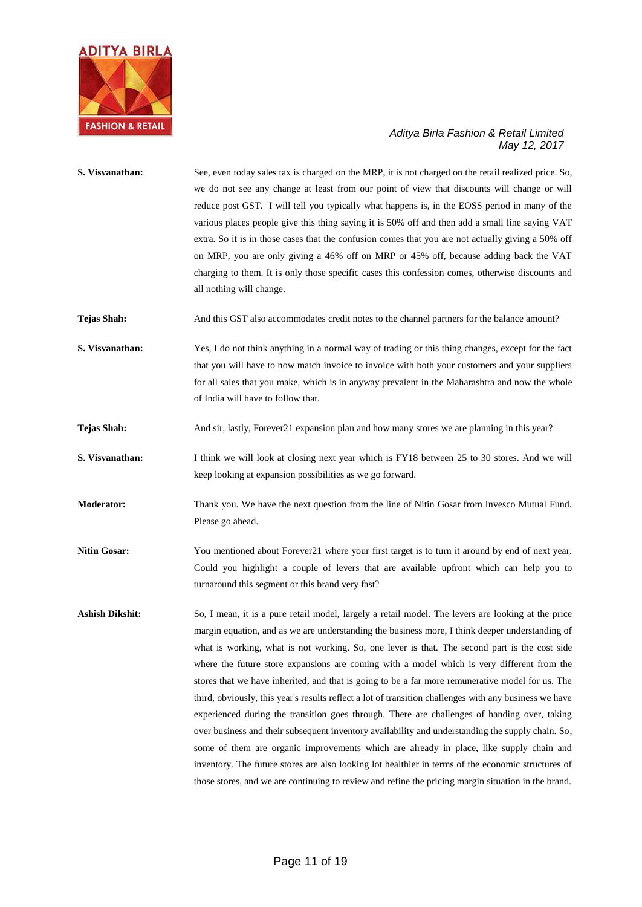

| S. Visvanathan:        | See, even today sales tax is charged on the MRP, it is not charged on the retail realized price. So,<br>we do not see any change at least from our point of view that discounts will change or will<br>reduce post GST. I will tell you typically what happens is, in the EOSS period in many of the<br>various places people give this thing saying it is 50% off and then add a small line saying VAT<br>extra. So it is in those cases that the confusion comes that you are not actually giving a 50% off<br>on MRP, you are only giving a 46% off on MRP or 45% off, because adding back the VAT<br>charging to them. It is only those specific cases this confession comes, otherwise discounts and<br>all nothing will change.                                                                                                                                                                                                                                                                                                                                                                                           |
|------------------------|---------------------------------------------------------------------------------------------------------------------------------------------------------------------------------------------------------------------------------------------------------------------------------------------------------------------------------------------------------------------------------------------------------------------------------------------------------------------------------------------------------------------------------------------------------------------------------------------------------------------------------------------------------------------------------------------------------------------------------------------------------------------------------------------------------------------------------------------------------------------------------------------------------------------------------------------------------------------------------------------------------------------------------------------------------------------------------------------------------------------------------|
| <b>Tejas Shah:</b>     | And this GST also accommodates credit notes to the channel partners for the balance amount?                                                                                                                                                                                                                                                                                                                                                                                                                                                                                                                                                                                                                                                                                                                                                                                                                                                                                                                                                                                                                                     |
| S. Visvanathan:        | Yes, I do not think anything in a normal way of trading or this thing changes, except for the fact<br>that you will have to now match invoice to invoice with both your customers and your suppliers<br>for all sales that you make, which is in anyway prevalent in the Maharashtra and now the whole<br>of India will have to follow that.                                                                                                                                                                                                                                                                                                                                                                                                                                                                                                                                                                                                                                                                                                                                                                                    |
| <b>Tejas Shah:</b>     | And sir, lastly, Forever21 expansion plan and how many stores we are planning in this year?                                                                                                                                                                                                                                                                                                                                                                                                                                                                                                                                                                                                                                                                                                                                                                                                                                                                                                                                                                                                                                     |
| S. Visvanathan:        | I think we will look at closing next year which is FY18 between 25 to 30 stores. And we will<br>keep looking at expansion possibilities as we go forward.                                                                                                                                                                                                                                                                                                                                                                                                                                                                                                                                                                                                                                                                                                                                                                                                                                                                                                                                                                       |
| Moderator:             | Thank you. We have the next question from the line of Nitin Gosar from Invesco Mutual Fund.<br>Please go ahead.                                                                                                                                                                                                                                                                                                                                                                                                                                                                                                                                                                                                                                                                                                                                                                                                                                                                                                                                                                                                                 |
| <b>Nitin Gosar:</b>    | You mentioned about Forever21 where your first target is to turn it around by end of next year.<br>Could you highlight a couple of levers that are available upfront which can help you to<br>turnaround this segment or this brand very fast?                                                                                                                                                                                                                                                                                                                                                                                                                                                                                                                                                                                                                                                                                                                                                                                                                                                                                  |
| <b>Ashish Dikshit:</b> | So, I mean, it is a pure retail model, largely a retail model. The levers are looking at the price<br>margin equation, and as we are understanding the business more, I think deeper understanding of<br>what is working, what is not working. So, one lever is that. The second part is the cost side<br>where the future store expansions are coming with a model which is very different from the<br>stores that we have inherited, and that is going to be a far more remunerative model for us. The<br>third, obviously, this year's results reflect a lot of transition challenges with any business we have<br>experienced during the transition goes through. There are challenges of handing over, taking<br>over business and their subsequent inventory availability and understanding the supply chain. So,<br>some of them are organic improvements which are already in place, like supply chain and<br>inventory. The future stores are also looking lot healthier in terms of the economic structures of<br>those stores, and we are continuing to review and refine the pricing margin situation in the brand. |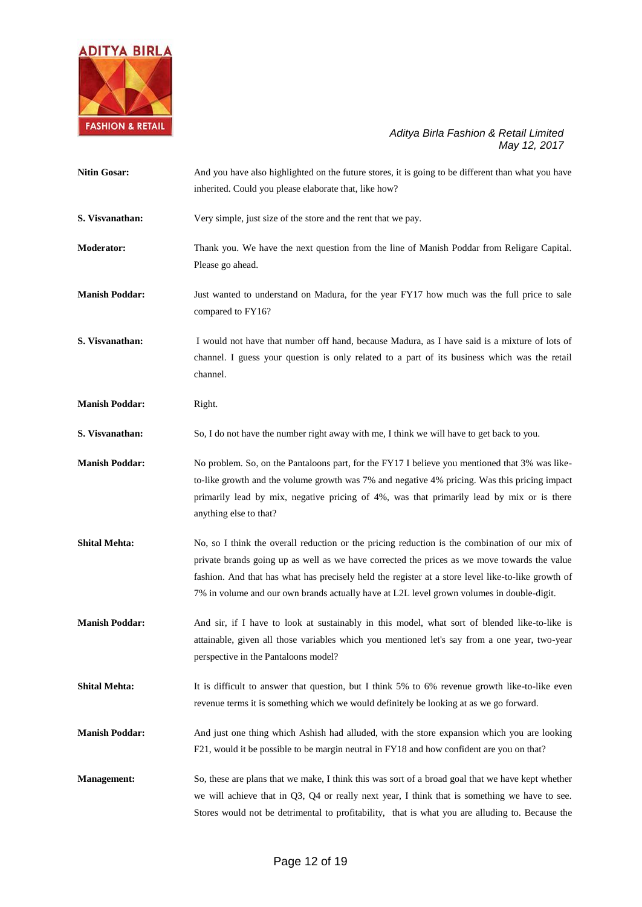

| <b>Nitin Gosar:</b>   | And you have also highlighted on the future stores, it is going to be different than what you have<br>inherited. Could you please elaborate that, like how?                                                                                                                                                                                                                                       |
|-----------------------|---------------------------------------------------------------------------------------------------------------------------------------------------------------------------------------------------------------------------------------------------------------------------------------------------------------------------------------------------------------------------------------------------|
| S. Visvanathan:       | Very simple, just size of the store and the rent that we pay.                                                                                                                                                                                                                                                                                                                                     |
| <b>Moderator:</b>     | Thank you. We have the next question from the line of Manish Poddar from Religare Capital.<br>Please go ahead.                                                                                                                                                                                                                                                                                    |
| <b>Manish Poddar:</b> | Just wanted to understand on Madura, for the year FY17 how much was the full price to sale<br>compared to FY16?                                                                                                                                                                                                                                                                                   |
| S. Visvanathan:       | I would not have that number off hand, because Madura, as I have said is a mixture of lots of<br>channel. I guess your question is only related to a part of its business which was the retail<br>channel.                                                                                                                                                                                        |
| <b>Manish Poddar:</b> | Right.                                                                                                                                                                                                                                                                                                                                                                                            |
| S. Visvanathan:       | So, I do not have the number right away with me, I think we will have to get back to you.                                                                                                                                                                                                                                                                                                         |
| <b>Manish Poddar:</b> | No problem. So, on the Pantaloons part, for the FY17 I believe you mentioned that 3% was like-<br>to-like growth and the volume growth was 7% and negative 4% pricing. Was this pricing impact<br>primarily lead by mix, negative pricing of 4%, was that primarily lead by mix or is there<br>anything else to that?                                                                             |
| <b>Shital Mehta:</b>  | No, so I think the overall reduction or the pricing reduction is the combination of our mix of<br>private brands going up as well as we have corrected the prices as we move towards the value<br>fashion. And that has what has precisely held the register at a store level like-to-like growth of<br>7% in volume and our own brands actually have at L2L level grown volumes in double-digit. |
| <b>Manish Poddar:</b> | And sir, if I have to look at sustainably in this model, what sort of blended like-to-like is<br>attainable, given all those variables which you mentioned let's say from a one year, two-year<br>perspective in the Pantaloons model?                                                                                                                                                            |
| <b>Shital Mehta:</b>  | It is difficult to answer that question, but I think 5% to 6% revenue growth like-to-like even<br>revenue terms it is something which we would definitely be looking at as we go forward.                                                                                                                                                                                                         |
| <b>Manish Poddar:</b> | And just one thing which Ashish had alluded, with the store expansion which you are looking<br>F21, would it be possible to be margin neutral in FY18 and how confident are you on that?                                                                                                                                                                                                          |
| <b>Management:</b>    | So, these are plans that we make, I think this was sort of a broad goal that we have kept whether<br>we will achieve that in $Q3$ , $Q4$ or really next year, I think that is something we have to see.<br>Stores would not be detrimental to profitability, that is what you are alluding to. Because the                                                                                        |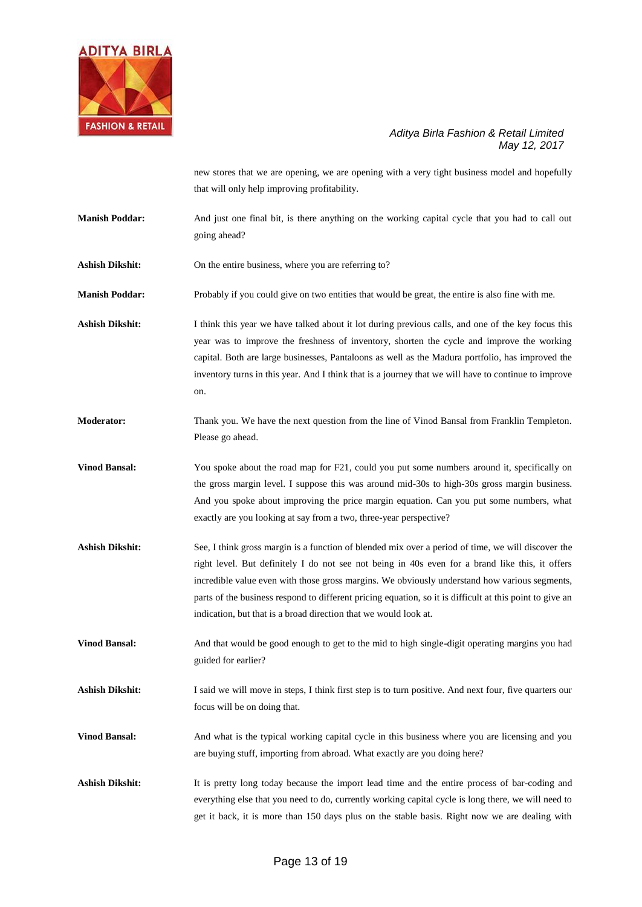

new stores that we are opening, we are opening with a very tight business model and hopefully that will only help improving profitability.

- **Manish Poddar:** And just one final bit, is there anything on the working capital cycle that you had to call out going ahead?
- Ashish Dikshit: On the entire business, where you are referring to?
- **Manish Poddar:** Probably if you could give on two entities that would be great, the entire is also fine with me.

**Ashish Dikshit:** I think this year we have talked about it lot during previous calls, and one of the key focus this year was to improve the freshness of inventory, shorten the cycle and improve the working capital. Both are large businesses, Pantaloons as well as the Madura portfolio, has improved the inventory turns in this year. And I think that is a journey that we will have to continue to improve on.

**Moderator:** Thank you. We have the next question from the line of Vinod Bansal from Franklin Templeton. Please go ahead.

**Vinod Bansal:** You spoke about the road map for F21, could you put some numbers around it, specifically on the gross margin level. I suppose this was around mid-30s to high-30s gross margin business. And you spoke about improving the price margin equation. Can you put some numbers, what exactly are you looking at say from a two, three-year perspective?

**Ashish Dikshit:** See, I think gross margin is a function of blended mix over a period of time, we will discover the right level. But definitely I do not see not being in 40s even for a brand like this, it offers incredible value even with those gross margins. We obviously understand how various segments, parts of the business respond to different pricing equation, so it is difficult at this point to give an indication, but that is a broad direction that we would look at.

**Vinod Bansal:** And that would be good enough to get to the mid to high single-digit operating margins you had guided for earlier?

Ashish Dikshit: I said we will move in steps, I think first step is to turn positive. And next four, five quarters our focus will be on doing that.

**Vinod Bansal:** And what is the typical working capital cycle in this business where you are licensing and you are buying stuff, importing from abroad. What exactly are you doing here?

Ashish Dikshit: It is pretty long today because the import lead time and the entire process of bar-coding and everything else that you need to do, currently working capital cycle is long there, we will need to get it back, it is more than 150 days plus on the stable basis. Right now we are dealing with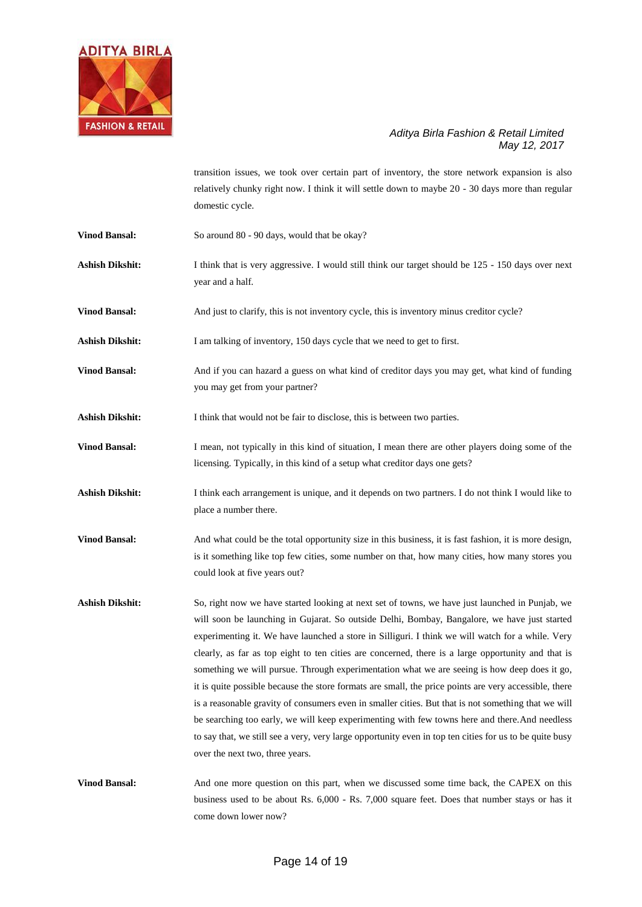

transition issues, we took over certain part of inventory, the store network expansion is also relatively chunky right now. I think it will settle down to maybe 20 - 30 days more than regular domestic cycle.

- **Vinod Bansal:** So around 80 90 days, would that be okay?
- Ashish Dikshit: I think that is very aggressive. I would still think our target should be 125 150 days over next year and a half.

**Vinod Bansal:** And just to clarify, this is not inventory cycle, this is inventory minus creditor cycle?

- **Ashish Dikshit:** I am talking of inventory, 150 days cycle that we need to get to first.
- **Vinod Bansal:** And if you can hazard a guess on what kind of creditor days you may get, what kind of funding you may get from your partner?
- **Ashish Dikshit:** I think that would not be fair to disclose, this is between two parties.
- **Vinod Bansal:** I mean, not typically in this kind of situation, I mean there are other players doing some of the licensing. Typically, in this kind of a setup what creditor days one gets?
- **Ashish Dikshit:** I think each arrangement is unique, and it depends on two partners. I do not think I would like to place a number there.
- **Vinod Bansal:** And what could be the total opportunity size in this business, it is fast fashion, it is more design, is it something like top few cities, some number on that, how many cities, how many stores you could look at five years out?
- Ashish Dikshit: So, right now we have started looking at next set of towns, we have just launched in Punjab, we will soon be launching in Gujarat. So outside Delhi, Bombay, Bangalore, we have just started experimenting it. We have launched a store in Silliguri. I think we will watch for a while. Very clearly, as far as top eight to ten cities are concerned, there is a large opportunity and that is something we will pursue. Through experimentation what we are seeing is how deep does it go, it is quite possible because the store formats are small, the price points are very accessible, there is a reasonable gravity of consumers even in smaller cities. But that is not something that we will be searching too early, we will keep experimenting with few towns here and there.And needless to say that, we still see a very, very large opportunity even in top ten cities for us to be quite busy over the next two, three years.
- **Vinod Bansal:** And one more question on this part, when we discussed some time back, the CAPEX on this business used to be about Rs. 6,000 - Rs. 7,000 square feet. Does that number stays or has it come down lower now?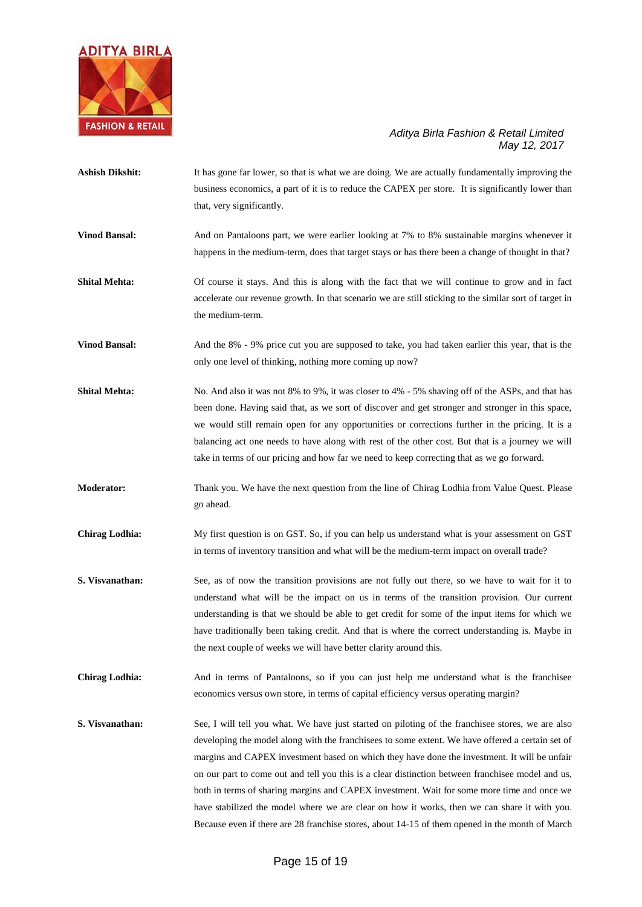

| <b>Ashish Dikshit:</b> | It has gone far lower, so that is what we are doing. We are actually fundamentally improving the<br>business economics, a part of it is to reduce the CAPEX per store. It is significantly lower than<br>that, very significantly.                                                                                                                                                                                                                                                                        |
|------------------------|-----------------------------------------------------------------------------------------------------------------------------------------------------------------------------------------------------------------------------------------------------------------------------------------------------------------------------------------------------------------------------------------------------------------------------------------------------------------------------------------------------------|
| <b>Vinod Bansal:</b>   | And on Pantaloons part, we were earlier looking at 7% to 8% sustainable margins whenever it<br>happens in the medium-term, does that target stays or has there been a change of thought in that?                                                                                                                                                                                                                                                                                                          |
| <b>Shital Mehta:</b>   | Of course it stays. And this is along with the fact that we will continue to grow and in fact<br>accelerate our revenue growth. In that scenario we are still sticking to the similar sort of target in<br>the medium-term.                                                                                                                                                                                                                                                                               |
| <b>Vinod Bansal:</b>   | And the 8% - 9% price cut you are supposed to take, you had taken earlier this year, that is the<br>only one level of thinking, nothing more coming up now?                                                                                                                                                                                                                                                                                                                                               |
| <b>Shital Mehta:</b>   | No. And also it was not 8% to 9%, it was closer to 4% - 5% shaving off of the ASPs, and that has<br>been done. Having said that, as we sort of discover and get stronger and stronger in this space,<br>we would still remain open for any opportunities or corrections further in the pricing. It is a<br>balancing act one needs to have along with rest of the other cost. But that is a journey we will<br>take in terms of our pricing and how far we need to keep correcting that as we go forward. |
| <b>Moderator:</b>      | Thank you. We have the next question from the line of Chirag Lodhia from Value Quest. Please<br>go ahead.                                                                                                                                                                                                                                                                                                                                                                                                 |
| <b>Chirag Lodhia:</b>  | My first question is on GST. So, if you can help us understand what is your assessment on GST<br>in terms of inventory transition and what will be the medium-term impact on overall trade?                                                                                                                                                                                                                                                                                                               |
| S. Visvanathan:        | See, as of now the transition provisions are not fully out there, so we have to wait for it to<br>understand what will be the impact on us in terms of the transition provision. Our current<br>understanding is that we should be able to get credit for some of the input items for which we<br>have traditionally been taking credit. And that is where the correct understanding is. Maybe in<br>the next couple of weeks we will have better clarity around this.                                    |
| <b>Chirag Lodhia:</b>  | And in terms of Pantaloons, so if you can just help me understand what is the franchisee<br>economics versus own store, in terms of capital efficiency versus operating margin?                                                                                                                                                                                                                                                                                                                           |
| S. Visvanathan:        | See, I will tell you what. We have just started on piloting of the franchisee stores, we are also<br>developing the model along with the franchisees to some extent. We have offered a certain set of<br>margins and CAPEX investment based on which they have done the investment. It will be unfair<br>on our part to come out and tell you this is a clear distinction between franchisee model and us,<br>both in terms of sharing margins and CAPEX investment. Wait for some more time and once we  |

have stabilized the model where we are clear on how it works, then we can share it with you. Because even if there are 28 franchise stores, about 14-15 of them opened in the month of March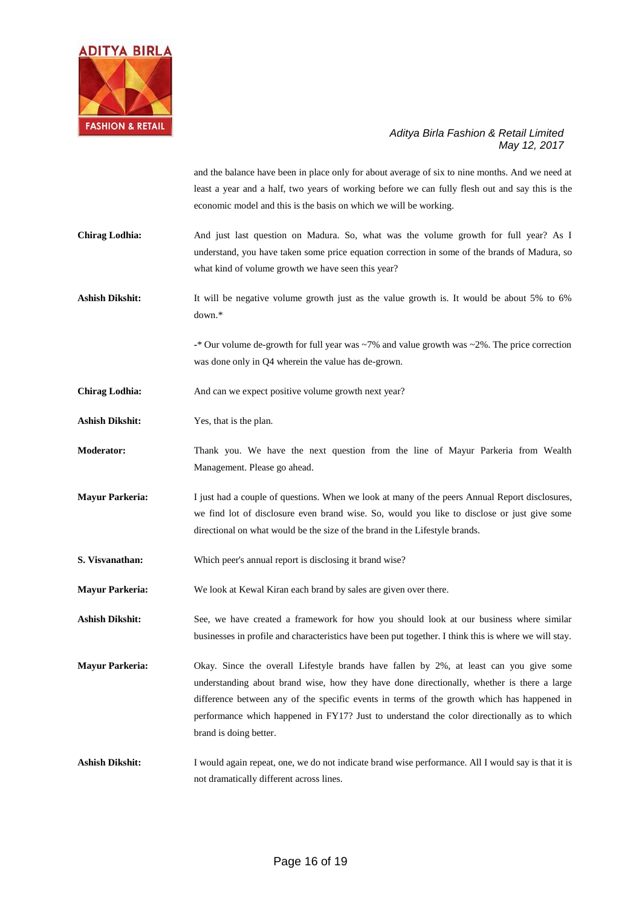

and the balance have been in place only for about average of six to nine months. And we need at least a year and a half, two years of working before we can fully flesh out and say this is the economic model and this is the basis on which we will be working.

**Chirag Lodhia:** And just last question on Madura. So, what was the volume growth for full year? As I understand, you have taken some price equation correction in some of the brands of Madura, so what kind of volume growth we have seen this year?

Ashish Dikshit: It will be negative volume growth just as the value growth is. It would be about 5% to 6% down.\*

> **-**\* Our volume de-growth for full year was ~7% and value growth was ~2%. The price correction was done only in Q4 wherein the value has de-grown.

Chirag Lodhia: And can we expect positive volume growth next year?

**Ashish Dikshit:** Yes, that is the plan.

**Moderator:** Thank you. We have the next question from the line of Mayur Parkeria from Wealth Management. Please go ahead.

**Mayur Parkeria:** I just had a couple of questions. When we look at many of the peers Annual Report disclosures, we find lot of disclosure even brand wise. So, would you like to disclose or just give some directional on what would be the size of the brand in the Lifestyle brands.

**S. Visvanathan:** Which peer's annual report is disclosing it brand wise?

**Mayur Parkeria:** We look at Kewal Kiran each brand by sales are given over there.

**Ashish Dikshit:** See, we have created a framework for how you should look at our business where similar businesses in profile and characteristics have been put together. I think this is where we will stay.

**Mayur Parkeria:** Okay. Since the overall Lifestyle brands have fallen by 2%, at least can you give some understanding about brand wise, how they have done directionally, whether is there a large difference between any of the specific events in terms of the growth which has happened in performance which happened in FY17? Just to understand the color directionally as to which brand is doing better.

Ashish Dikshit: I would again repeat, one, we do not indicate brand wise performance. All I would say is that it is not dramatically different across lines.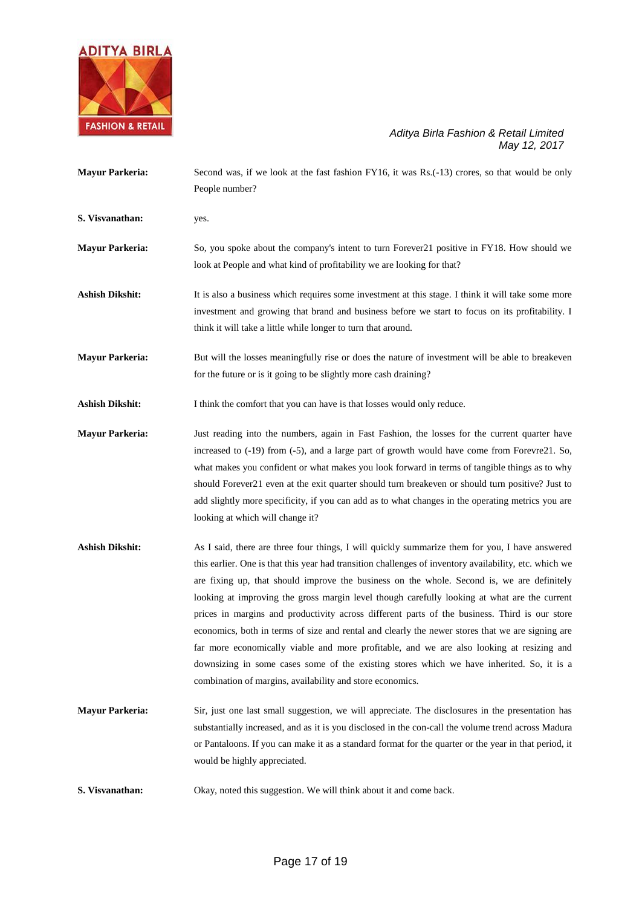

| <b>Mayur Parkeria:</b> | Second was, if we look at the fast fashion FY16, it was Rs.(-13) crores, so that would be only<br>People number?                                                                                                                                                                                                                                                                                                                                                                                                                             |
|------------------------|----------------------------------------------------------------------------------------------------------------------------------------------------------------------------------------------------------------------------------------------------------------------------------------------------------------------------------------------------------------------------------------------------------------------------------------------------------------------------------------------------------------------------------------------|
| S. Visvanathan:        | yes.                                                                                                                                                                                                                                                                                                                                                                                                                                                                                                                                         |
| <b>Mayur Parkeria:</b> | So, you spoke about the company's intent to turn Forever 21 positive in FY18. How should we<br>look at People and what kind of profitability we are looking for that?                                                                                                                                                                                                                                                                                                                                                                        |
| <b>Ashish Dikshit:</b> | It is also a business which requires some investment at this stage. I think it will take some more<br>investment and growing that brand and business before we start to focus on its profitability. I<br>think it will take a little while longer to turn that around.                                                                                                                                                                                                                                                                       |
| <b>Mayur Parkeria:</b> | But will the losses meaningfully rise or does the nature of investment will be able to breakeven<br>for the future or is it going to be slightly more cash draining?                                                                                                                                                                                                                                                                                                                                                                         |
| <b>Ashish Dikshit:</b> | I think the comfort that you can have is that losses would only reduce.                                                                                                                                                                                                                                                                                                                                                                                                                                                                      |
| <b>Mayur Parkeria:</b> | Just reading into the numbers, again in Fast Fashion, the losses for the current quarter have<br>increased to (-19) from (-5), and a large part of growth would have come from Forevre21. So,<br>what makes you confident or what makes you look forward in terms of tangible things as to why<br>should Forever 21 even at the exit quarter should turn breakeven or should turn positive? Just to<br>add slightly more specificity, if you can add as to what changes in the operating metrics you are<br>looking at which will change it? |
| <b>Ashish Dikshit:</b> | As I said, there are three four things, I will quickly summarize them for you, I have answered                                                                                                                                                                                                                                                                                                                                                                                                                                               |

- this earlier. One is that this year had transition challenges of inventory availability, etc. which we are fixing up, that should improve the business on the whole. Second is, we are definitely looking at improving the gross margin level though carefully looking at what are the current prices in margins and productivity across different parts of the business. Third is our store economics, both in terms of size and rental and clearly the newer stores that we are signing are far more economically viable and more profitable, and we are also looking at resizing and downsizing in some cases some of the existing stores which we have inherited. So, it is a combination of margins, availability and store economics.
- **Mayur Parkeria:** Sir, just one last small suggestion, we will appreciate. The disclosures in the presentation has substantially increased, and as it is you disclosed in the con-call the volume trend across Madura or Pantaloons. If you can make it as a standard format for the quarter or the year in that period, it would be highly appreciated.
- **S. Visvanathan:** Okay, noted this suggestion. We will think about it and come back.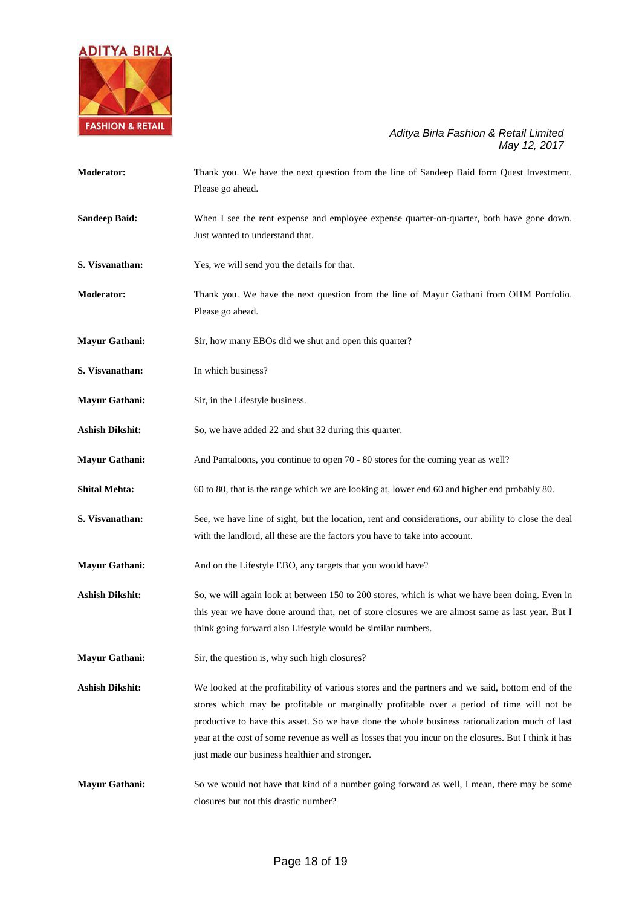

| <b>Moderator:</b>      | Thank you. We have the next question from the line of Sandeep Baid form Quest Investment.<br>Please go ahead.                                                                                                                                                                                                                                                                                                                                              |
|------------------------|------------------------------------------------------------------------------------------------------------------------------------------------------------------------------------------------------------------------------------------------------------------------------------------------------------------------------------------------------------------------------------------------------------------------------------------------------------|
| <b>Sandeep Baid:</b>   | When I see the rent expense and employee expense quarter-on-quarter, both have gone down.<br>Just wanted to understand that.                                                                                                                                                                                                                                                                                                                               |
| S. Visvanathan:        | Yes, we will send you the details for that.                                                                                                                                                                                                                                                                                                                                                                                                                |
| <b>Moderator:</b>      | Thank you. We have the next question from the line of Mayur Gathani from OHM Portfolio.<br>Please go ahead.                                                                                                                                                                                                                                                                                                                                                |
| <b>Mayur Gathani:</b>  | Sir, how many EBOs did we shut and open this quarter?                                                                                                                                                                                                                                                                                                                                                                                                      |
| S. Visvanathan:        | In which business?                                                                                                                                                                                                                                                                                                                                                                                                                                         |
| <b>Mayur Gathani:</b>  | Sir, in the Lifestyle business.                                                                                                                                                                                                                                                                                                                                                                                                                            |
| <b>Ashish Dikshit:</b> | So, we have added 22 and shut 32 during this quarter.                                                                                                                                                                                                                                                                                                                                                                                                      |
| <b>Mayur Gathani:</b>  | And Pantaloons, you continue to open 70 - 80 stores for the coming year as well?                                                                                                                                                                                                                                                                                                                                                                           |
| <b>Shital Mehta:</b>   | 60 to 80, that is the range which we are looking at, lower end 60 and higher end probably 80.                                                                                                                                                                                                                                                                                                                                                              |
| S. Visvanathan:        | See, we have line of sight, but the location, rent and considerations, our ability to close the deal<br>with the landlord, all these are the factors you have to take into account.                                                                                                                                                                                                                                                                        |
| <b>Mayur Gathani:</b>  | And on the Lifestyle EBO, any targets that you would have?                                                                                                                                                                                                                                                                                                                                                                                                 |
| <b>Ashish Dikshit:</b> | So, we will again look at between 150 to 200 stores, which is what we have been doing. Even in<br>this year we have done around that, net of store closures we are almost same as last year. But I<br>think going forward also Lifestyle would be similar numbers.                                                                                                                                                                                         |
| <b>Mayur Gathani:</b>  | Sir, the question is, why such high closures?                                                                                                                                                                                                                                                                                                                                                                                                              |
| <b>Ashish Dikshit:</b> | We looked at the profitability of various stores and the partners and we said, bottom end of the<br>stores which may be profitable or marginally profitable over a period of time will not be<br>productive to have this asset. So we have done the whole business rationalization much of last<br>year at the cost of some revenue as well as losses that you incur on the closures. But I think it has<br>just made our business healthier and stronger. |
| <b>Mayur Gathani:</b>  | So we would not have that kind of a number going forward as well, I mean, there may be some<br>closures but not this drastic number?                                                                                                                                                                                                                                                                                                                       |